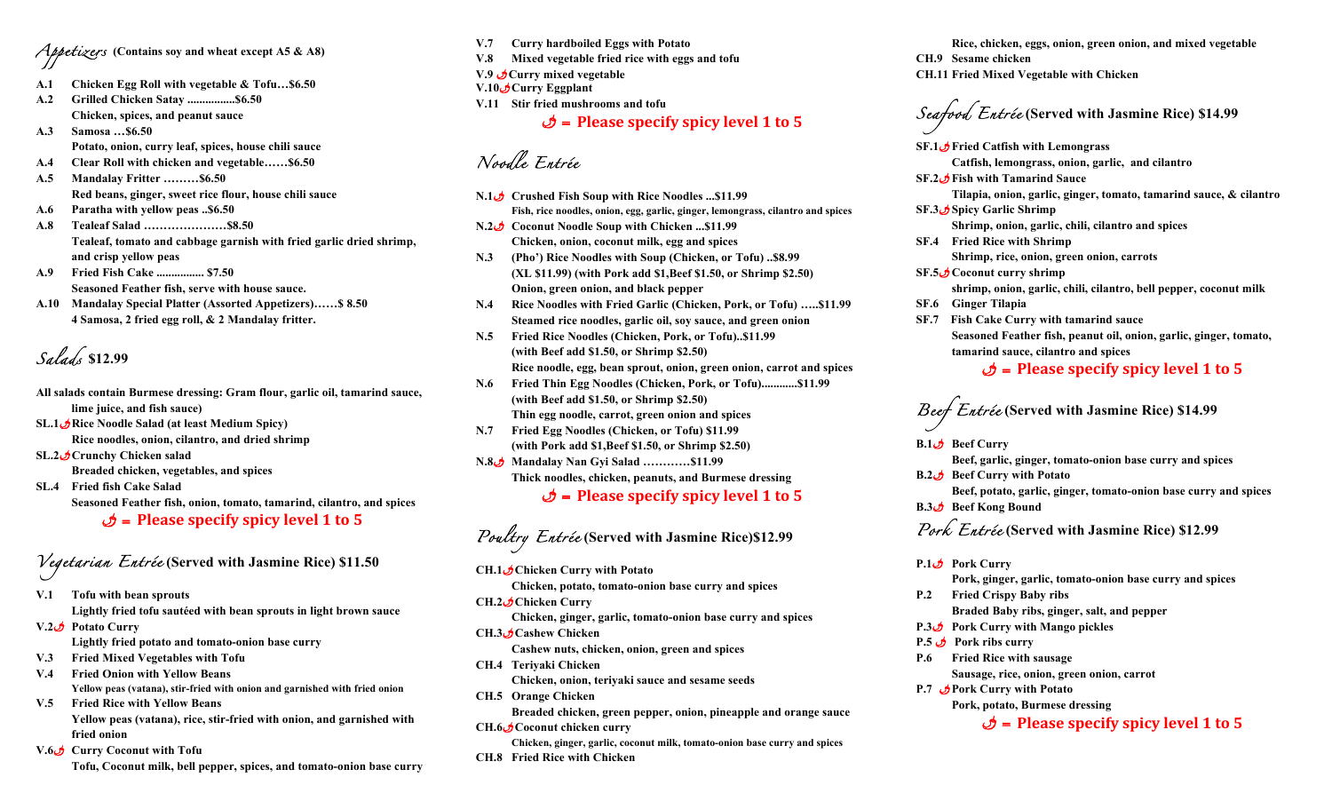*Appetizers* **(Contains soy and wheat except A5 & A8)**

- **A.1 Chicken Egg Roll with vegetable & Tofu…\$6.50**
- **A.2 Grilled Chicken Satay ................\$6.50 Chicken, spices, and peanut sauce**
- **A.3 Samosa …\$6.50 Potato, onion, curry leaf, spices, house chili sauce**
- **A.4 Clear Roll with chicken and vegetable……\$6.50**
- **A.5 Mandalay Fritter ………\$6.50 Red beans, ginger, sweet rice flour, house chili sauce**
- **A.6 Paratha with yellow peas ..\$6.50**
- **A.8 Tealeaf Salad …………………\$8.50 Tealeaf, tomato and cabbage garnish with fried garlic dried shrimp, and crisp yellow peas**
- **A.9 Fried Fish Cake ................ \$7.50 Seasoned Feather fish, serve with house sauce.**
- **A.10 Mandalay Special Platter (Assorted Appetizers)……\$ 8.50 4 Samosa, 2 fried egg roll, & 2 Mandalay fritter.**

*Salads* **\$12.99**

- **All salads contain Burmese dressing: Gram flour, garlic oil, tamarind sauce, lime juice, and fish sauce)**
- **SL.1**u**Rice Noodle Salad (at least Medium Spicy) Rice noodles, onion, cilantro, and dried shrimp**
- **SL.2**u**Crunchy Chicken salad**
	- **Breaded chicken, vegetables, and spices**
- **SL.4 Fried fish Cake Salad**

 **Seasoned Feather fish, onion, tomato, tamarind, cilantro, and spices**

u = **Please specify spicy level 1 to 5**

# *Vegetarian Entrée* **(Served with Jasmine Rice) \$11.50**

- **V.1 Tofu with bean sprouts Lightly fried tofu sautéed with bean sprouts in light brown sauce**
- **V.2***u* **Potato Curry Lightly fried potato and tomato-onion base curry**
- **V.3 Fried Mixed Vegetables with Tofu**
- **V.4 Fried Onion with Yellow Beans Yellow peas (vatana), stir-fried with onion and garnished with fried onion**
- **V.5 Fried Rice with Yellow Beans Yellow peas (vatana), rice, stir-fried with onion, and garnished with fried onion**
- **V.6**u **Curry Coconut with Tofu** 
	- **Tofu, Coconut milk, bell pepper, spices, and tomato-onion base curry**
- **V.7 Curry hardboiled Eggs with Potato V.8 Mixed vegetable fried rice with eggs and tofu V.9** u**Curry mixed vegetable**
- **V.10***U***Curry Eggplant**
- **V.11 Stir fried mushrooms and tofu**

u = **Please specify spicy level 1 to 5**

*Noodle Entrée*

- **N.1**u **Crushed Fish Soup with Rice Noodles ...\$11.99 Fish, rice noodles, onion, egg, garlic, ginger, lemongrass, cilantro and spices N.2**u **Coconut Noodle Soup with Chicken ...\$11.99**
- **Chicken, onion, coconut milk, egg and spices**
- **N.3 (Pho') Rice Noodles with Soup (Chicken, or Tofu) ..\$8.99 (XL \$11.99) (with Pork add \$1,Beef \$1.50, or Shrimp \$2.50) Onion, green onion, and black pepper**
- **N.4 Rice Noodles with Fried Garlic (Chicken, Pork, or Tofu) …..\$11.99 Steamed rice noodles, garlic oil, soy sauce, and green onion**
- **N.5 Fried Rice Noodles (Chicken, Pork, or Tofu)..\$11.99 (with Beef add \$1.50, or Shrimp \$2.50) Rice noodle, egg, bean sprout, onion, green onion, carrot and spices**
- **N.6 Fried Thin Egg Noodles (Chicken, Pork, or Tofu)............\$11.99 (with Beef add \$1.50, or Shrimp \$2.50) Thin egg noodle, carrot, green onion and spices**
- **N.7 Fried Egg Noodles (Chicken, or Tofu) \$11.99 (with Pork add \$1,Beef \$1.50, or Shrimp \$2.50)**
- **N.8**u **Mandalay Nan Gyi Salad …………\$11.99 Thick noodles, chicken, peanuts, and Burmese dressing**

u = **Please specify spicy level 1 to 5**

*Poultry Entrée* **(Served with Jasmine Rice)\$12.99**

**CH.1**u**Chicken Curry with Potato**

**Chicken, potato, tomato-onion base curry and spices**

**CH.2***u***Chicken Curry** 

**Chicken, ginger, garlic, tomato-onion base curry and spices CH.3**u**Cashew Chicken** 

**Cashew nuts, chicken, onion, green and spices**

**CH.4 Teriyaki Chicken**

**Chicken, onion, teriyaki sauce and sesame seeds**

**CH.5 Orange Chicken** 

**Breaded chicken, green pepper, onion, pineapple and orange sauce**

- **CH.6**u**Coconut chicken curry**
- **Chicken, ginger, garlic, coconut milk, tomato-onion base curry and spices CH.8 Fried Rice with Chicken**

**Rice, chicken, eggs, onion, green onion, and mixed vegetable**

- **CH.9 Sesame chicken**
- **CH.11 Fried Mixed Vegetable with Chicken**

*Seafood Entrée* **(Served with Jasmine Rice) \$14.99**

**SF.1**u**Fried Catfish with Lemongrass** 

**Catfish, lemongrass, onion, garlic, and cilantro**

**SF.2**u**Fish with Tamarind Sauce** 

**Tilapia, onion, garlic, ginger, tomato, tamarind sauce, & cilantro**

**SF.3**u**Spicy Garlic Shrimp** 

**Shrimp, onion, garlic, chili, cilantro and spices**

**SF.4 Fried Rice with Shrimp** 

**Shrimp, rice, onion, green onion, carrots**

**SF.5**u**Coconut curry shrimp**

 **shrimp, onion, garlic, chili, cilantro, bell pepper, coconut milk** 

- **SF.6 Ginger Tilapia**
- **SF.7 Fish Cake Curry with tamarind sauce Seasoned Feather fish, peanut oil, onion, garlic, ginger, tomato, tamarind sauce, cilantro and spices**

#### u = **Please specify spicy level 1 to 5**

*Beef Entrée* **(Served with Jasmine Rice) \$14.99**

**Beef Curry B.1** 

**Beef, garlic, ginger, tomato-onion base curry and spices**

**B.2***u* **Beef Curry with Potato** 

**Beef, potato, garlic, ginger, tomato-onion base curry and spices B.3***u* **Beef Kong Bound** 

### *Pork Entrée* **(Served with Jasmine Rice) \$12.99**

**P.1** $\phi$  **Pork Curry** 

**Pork, ginger, garlic, tomato-onion base curry and spices**

- **P.2 Fried Crispy Baby ribs Braded Baby ribs, ginger, salt, and pepper**
- **P.3**u **Pork Curry with Mango pickles**
- **P.5 b Pork ribs curry**
- **P.6 Fried Rice with sausage**
	- **Sausage, rice, onion, green onion, carrot**
- **P.7** u**Pork Curry with Potato**

**Pork, potato, Burmese dressing**

 $\phi$  = Please specify spicy level 1 to 5